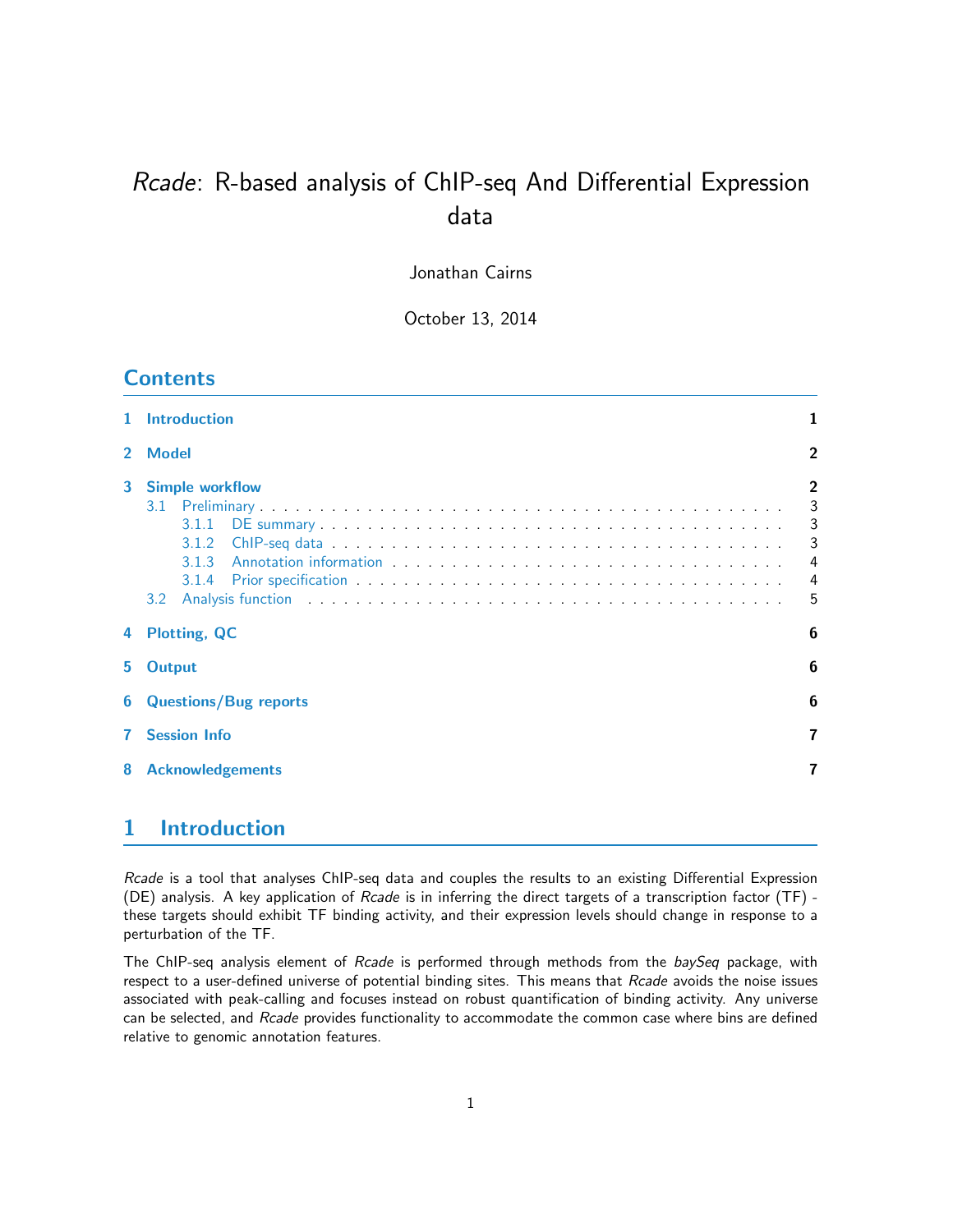# Rcade: R-based analysis of ChIP-seq And Differential Expression data

Jonathan Cairns

October 13, 2014

# **Contents**

| $\mathbf{1}$   | <b>Introduction</b>                                                                                                                                                                                                                                                                                      |                                                           |
|----------------|----------------------------------------------------------------------------------------------------------------------------------------------------------------------------------------------------------------------------------------------------------------------------------------------------------|-----------------------------------------------------------|
| $\overline{2}$ | <b>Model</b>                                                                                                                                                                                                                                                                                             | $\overline{2}$                                            |
| 3              | <b>Simple workflow</b><br>3.1<br>3.1.1<br>3.1.2<br>313<br>3.1.4<br>Analysis function respectively and the contract of the contract of the contract of the contract of the contract of the contract of the contract of the contract of the contract of the contract of the contract of the contrac<br>3.2 | $\overline{2}$<br>3<br>3<br>3<br>4<br>$\overline{4}$<br>5 |
| 4              | <b>Plotting, QC</b>                                                                                                                                                                                                                                                                                      | 6                                                         |
| 5              | <b>Output</b>                                                                                                                                                                                                                                                                                            | 6                                                         |
| 6              | <b>Questions/Bug reports</b>                                                                                                                                                                                                                                                                             | 6                                                         |
|                | <b>Session Info</b>                                                                                                                                                                                                                                                                                      | 7                                                         |
| 8              | <b>Acknowledgements</b>                                                                                                                                                                                                                                                                                  | 7                                                         |
|                |                                                                                                                                                                                                                                                                                                          |                                                           |

# <span id="page-0-0"></span>1 Introduction

Rcade is a tool that analyses ChIP-seq data and couples the results to an existing Differential Expression (DE) analysis. A key application of Rcade is in inferring the direct targets of a transcription factor (TF) these targets should exhibit TF binding activity, and their expression levels should change in response to a perturbation of the TF.

The ChIP-seq analysis element of Rcade is performed through methods from the baySeq package, with respect to a user-defined universe of potential binding sites. This means that Rcade avoids the noise issues associated with peak-calling and focuses instead on robust quantification of binding activity. Any universe can be selected, and Rcade provides functionality to accommodate the common case where bins are defined relative to genomic annotation features.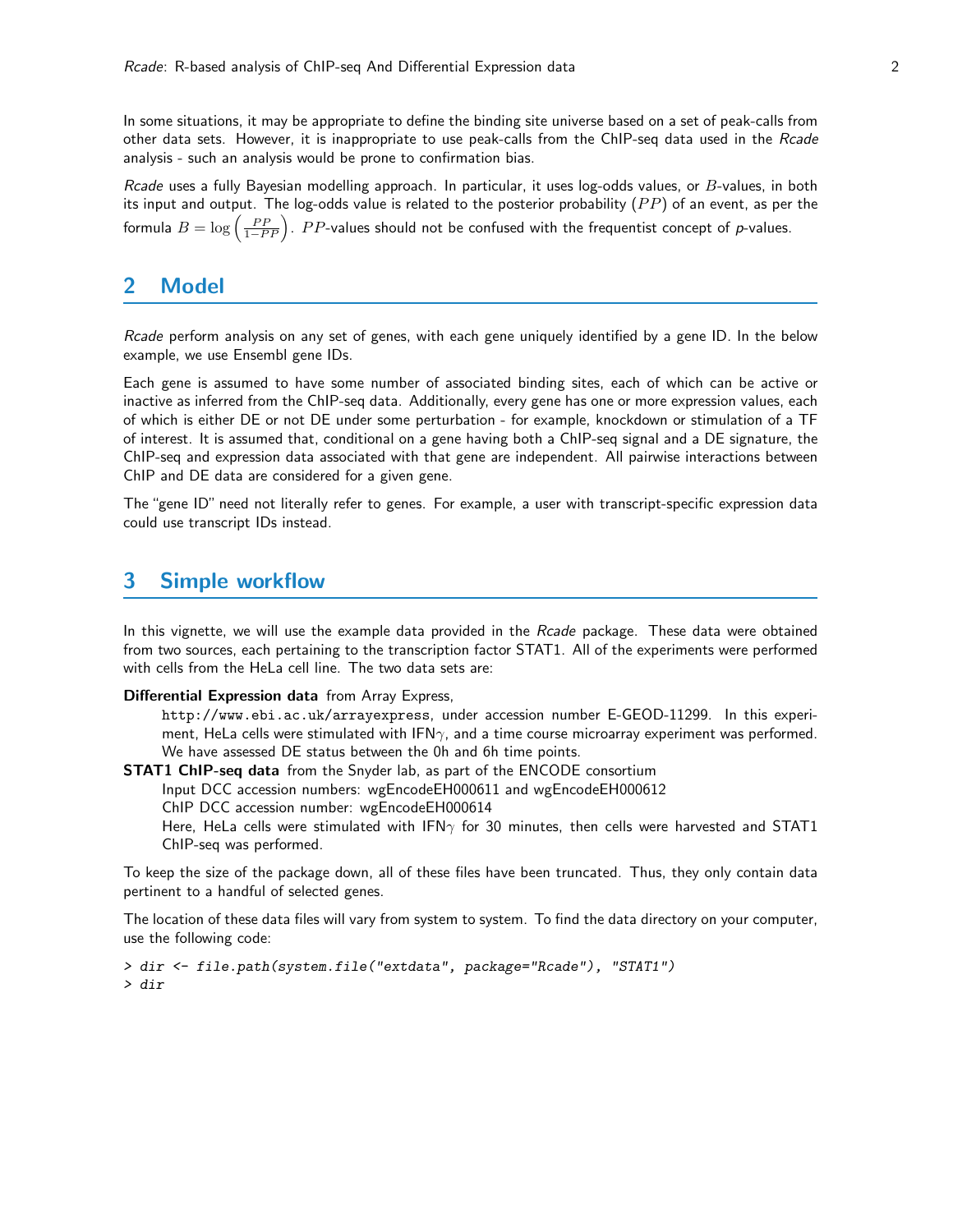In some situations, it may be appropriate to define the binding site universe based on a set of peak-calls from other data sets. However, it is inappropriate to use peak-calls from the ChIP-seq data used in the Rcade analysis - such an analysis would be prone to confirmation bias.

Rcade uses a fully Bayesian modelling approach. In particular, it uses log-odds values, or  $B$ -values, in both its input and output. The log-odds value is related to the posterior probability  $(PP)$  of an event, as per the formula  $B=\log\left(\frac{PP}{1-PP}\right)$ .  $PP$ -values should not be confused with the frequentist concept of  $p$ -values.

### <span id="page-1-0"></span>2 Model

Rcade perform analysis on any set of genes, with each gene uniquely identified by a gene ID. In the below example, we use Ensembl gene IDs.

Each gene is assumed to have some number of associated binding sites, each of which can be active or inactive as inferred from the ChIP-seq data. Additionally, every gene has one or more expression values, each of which is either DE or not DE under some perturbation - for example, knockdown or stimulation of a TF of interest. It is assumed that, conditional on a gene having both a ChIP-seq signal and a DE signature, the ChIP-seq and expression data associated with that gene are independent. All pairwise interactions between ChIP and DE data are considered for a given gene.

The "gene ID" need not literally refer to genes. For example, a user with transcript-specific expression data could use transcript IDs instead.

### <span id="page-1-1"></span>3 Simple workflow

In this vignette, we will use the example data provided in the Rcade package. These data were obtained from two sources, each pertaining to the transcription factor STAT1. All of the experiments were performed with cells from the HeLa cell line. The two data sets are:

Differential Expression data from Array Express,

http://www.ebi.ac.uk/arrayexpress, under accession number E-GEOD-11299. In this experiment, HeLa cells were stimulated with IFN $\gamma$ , and a time course microarray experiment was performed. We have assessed DE status between the 0h and 6h time points.

**STAT1 ChIP-seq data** from the Snyder lab, as part of the ENCODE consortium

Input DCC accession numbers: wgEncodeEH000611 and wgEncodeEH000612

ChIP DCC accession number: wgEncodeEH000614

Here, HeLa cells were stimulated with IFN $\gamma$  for 30 minutes, then cells were harvested and STAT1 ChIP-seq was performed.

To keep the size of the package down, all of these files have been truncated. Thus, they only contain data pertinent to a handful of selected genes.

The location of these data files will vary from system to system. To find the data directory on your computer, use the following code:

> dir <- file.path(system.file("extdata", package="Rcade"), "STAT1") > dir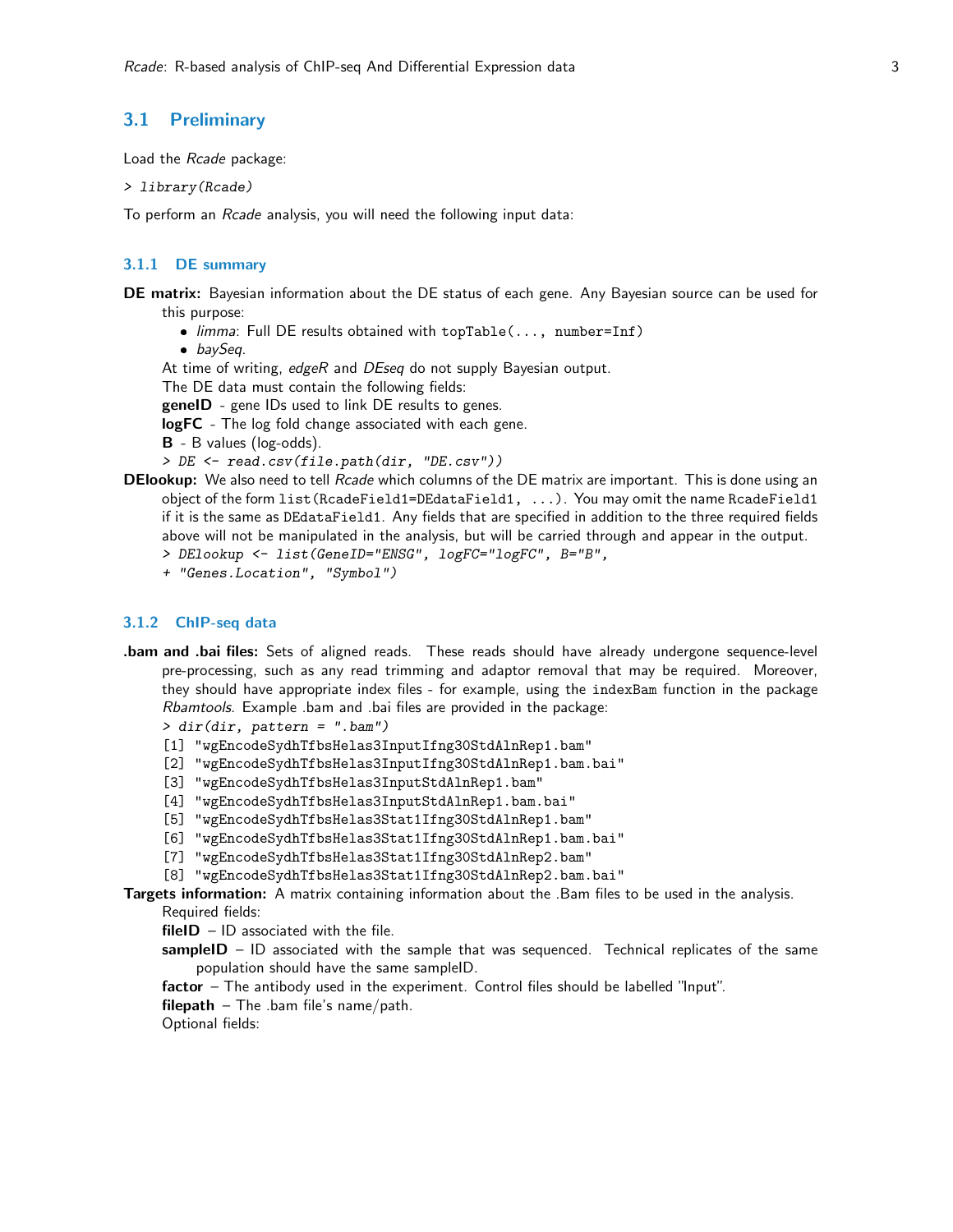### <span id="page-2-0"></span>3.1 Preliminary

Load the Rcade package:

```
> library(Rcade)
```
To perform an Rcade analysis, you will need the following input data:

### <span id="page-2-1"></span>3.1.1 DE summary

DE matrix: Bayesian information about the DE status of each gene. Any Bayesian source can be used for this purpose:

- $\bullet$  limma: Full DE results obtained with topTable(..., number=Inf)
- baySeq.

At time of writing, edgeR and DEseq do not supply Bayesian output.

The DE data must contain the following fields:

geneID - gene IDs used to link DE results to genes.

logFC - The log fold change associated with each gene.

- B B values (log-odds).
- > DE <- read.csv(file.path(dir, "DE.csv"))
- **DElookup:** We also need to tell Rcade which columns of the DE matrix are important. This is done using an object of the form list(RcadeField1=DEdataField1, ...). You may omit the name RcadeField1 if it is the same as DEdataField1. Any fields that are specified in addition to the three required fields above will not be manipulated in the analysis, but will be carried through and appear in the output. > DElookup <- list(GeneID="ENSG", logFC="logFC", B="B",
	- + "Genes.Location", "Symbol")

#### <span id="page-2-2"></span>3.1.2 ChIP-seq data

.bam and .bai files: Sets of aligned reads. These reads should have already undergone sequence-level pre-processing, such as any read trimming and adaptor removal that may be required. Moreover, they should have appropriate index files - for example, using the indexBam function in the package Rbamtools. Example .bam and .bai files are provided in the package:

> dir(dir, pattern = ".bam")

- [1] "wgEncodeSydhTfbsHelas3InputIfng30StdAlnRep1.bam"
- [2] "wgEncodeSydhTfbsHelas3InputIfng30StdAlnRep1.bam.bai"
- [3] "wgEncodeSydhTfbsHelas3InputStdAlnRep1.bam"
- [4] "wgEncodeSydhTfbsHelas3InputStdAlnRep1.bam.bai"
- [5] "wgEncodeSydhTfbsHelas3Stat1Ifng30StdAlnRep1.bam"
- [6] "wgEncodeSydhTfbsHelas3Stat1Ifng30StdAlnRep1.bam.bai"
- [7] "wgEncodeSydhTfbsHelas3Stat1Ifng30StdAlnRep2.bam"
- [8] "wgEncodeSydhTfbsHelas3Stat1Ifng30StdAlnRep2.bam.bai"

#### Targets information: A matrix containing information about the .Bam files to be used in the analysis. Required fields:

 $fileID - ID$  associated with the file.

- sampleID  $-$  ID associated with the sample that was sequenced. Technical replicates of the same population should have the same sampleID.
- factor The antibody used in the experiment. Control files should be labelled "Input".
- filepath The .bam file's name/path.

Optional fields: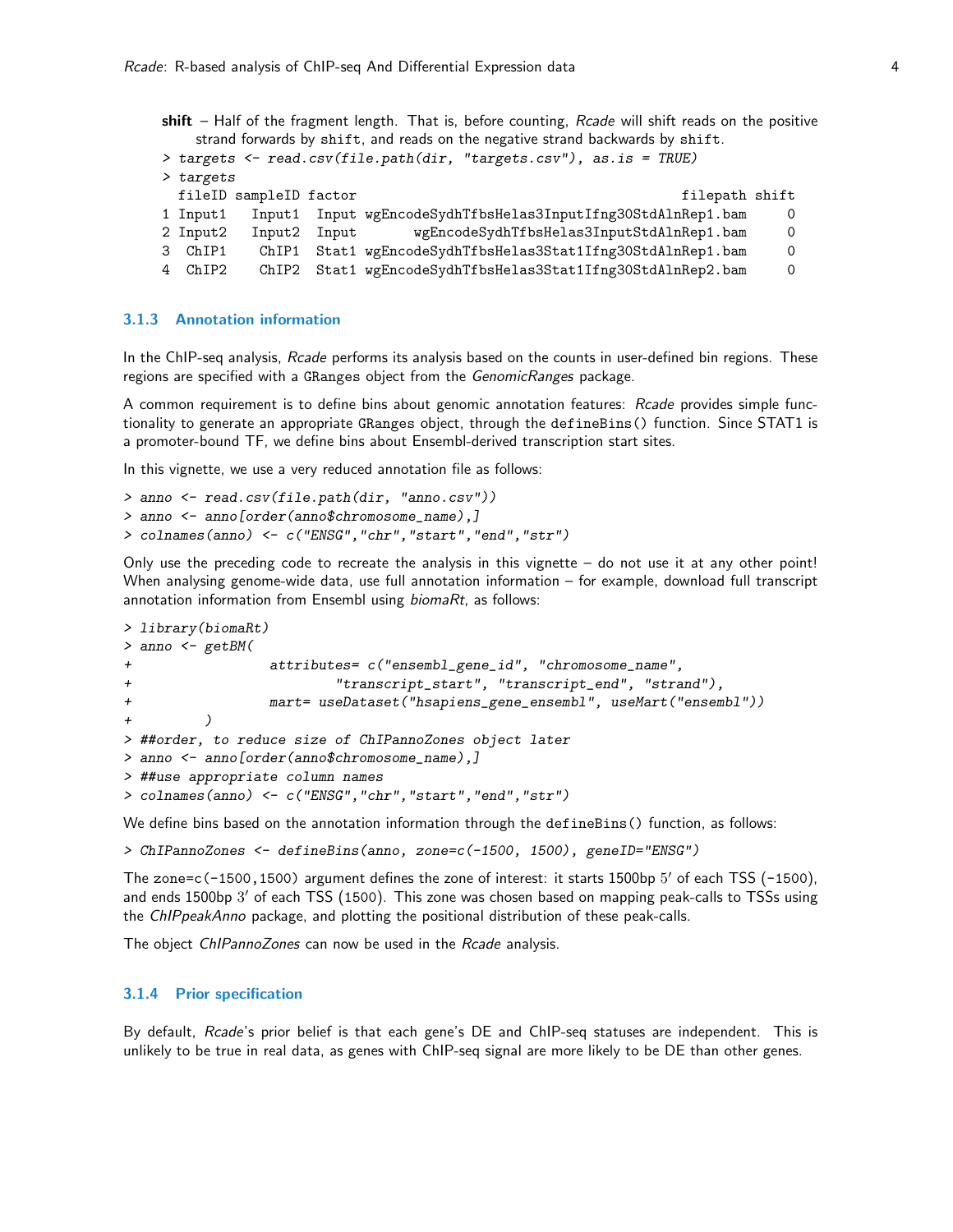shift – Half of the fragment length. That is, before counting, Rcade will shift reads on the positive strand forwards by shift, and reads on the negative strand backwards by shift.

```
> targets <- read.csv(file.path(dir, "targets.csv"), as.is = TRUE)
> targets
  fileID sampleID factor files and the sample of the sample of the shift of the shift of the shift of the shift of the shift of the shift of the shift of the shift of the shift of the shift of the shift of the shift of the
1 Input1 Input1 Input wgEncodeSydhTfbsHelas3InputIfng30StdAlnRep1.bam 0
2 Input2 Input2 Input wgEncodeSydhTfbsHelas3InputStdAlnRep1.bam 0
3 ChIP1 ChIP1 Stat1 wgEncodeSydhTfbsHelas3Stat1Ifng30StdAlnRep1.bam 0
4 ChIP2 ChIP2 Stat1 wgEncodeSydhTfbsHelas3Stat1Ifng30StdAlnRep2.bam 0
```
#### <span id="page-3-0"></span>3.1.3 Annotation information

In the ChIP-seq analysis, Rcade performs its analysis based on the counts in user-defined bin regions. These regions are specified with a GRanges object from the GenomicRanges package.

A common requirement is to define bins about genomic annotation features: Rcade provides simple functionality to generate an appropriate GRanges object, through the defineBins() function. Since STAT1 is a promoter-bound TF, we define bins about Ensembl-derived transcription start sites.

In this vignette, we use a very reduced annotation file as follows:

```
> anno <- read.csv(file.path(dir, "anno.csv"))
> anno <- anno[order(anno$chromosome_name),]
> colnames(anno) <- c("ENSG","chr","start","end","str")
```
Only use the preceding code to recreate the analysis in this vignette – do not use it at any other point! When analysing genome-wide data, use full annotation information – for example, download full transcript annotation information from Ensembl using biomaRt, as follows:

```
> library(biomaRt)
> anno <- getBM(
+ attributes= c("ensembl_gene_id", "chromosome_name",
+ "transcript_start", "transcript_end", "strand"),
+ mart= useDataset("hsapiens_gene_ensembl", useMart("ensembl"))
+ )
> ##order, to reduce size of ChIPannoZones object later
> anno <- anno[order(anno$chromosome_name),]
> ##use appropriate column names
> colnames(anno) <- c("ENSG","chr","start","end","str")
```
We define bins based on the annotation information through the defineBins() function, as follows:

> ChIPannoZones <- defineBins(anno, zone=c(-1500, 1500), geneID="ENSG")

The zone=c(-1500,1500) argument defines the zone of interest: it starts 1500bp 5' of each TSS (-1500), and ends  $1500$ bp  $3^\prime$  of each  $TSS$   $(1500)$ . This zone was chosen based on mapping peak-calls to  $TSS$ s using the ChIPpeakAnno package, and plotting the positional distribution of these peak-calls.

The object ChIPannoZones can now be used in the Rcade analysis.

#### <span id="page-3-1"></span>3.1.4 Prior specification

By default, Rcade's prior belief is that each gene's DE and ChIP-seq statuses are independent. This is unlikely to be true in real data, as genes with ChIP-seq signal are more likely to be DE than other genes.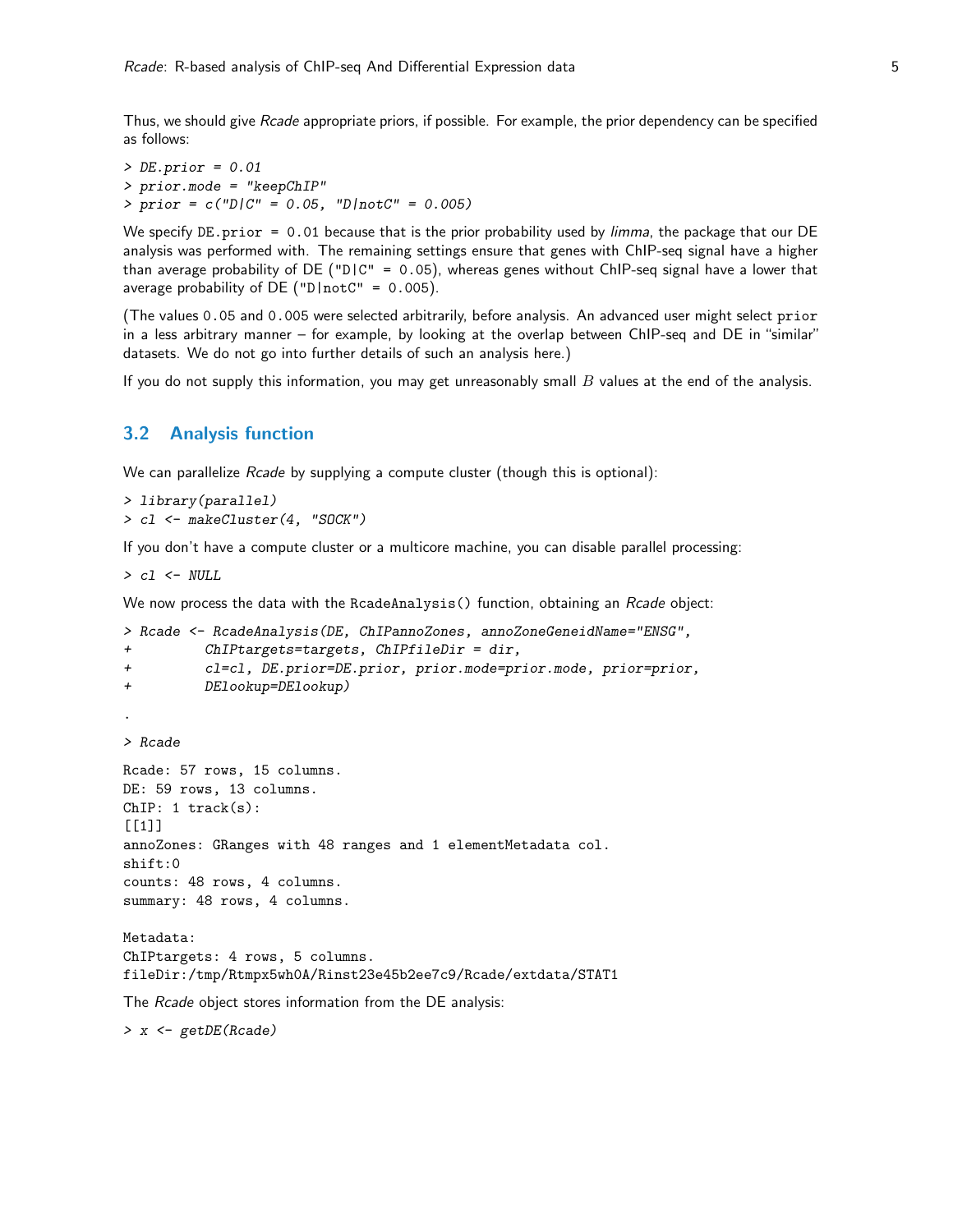Thus, we should give Rcade appropriate priors, if possible. For example, the prior dependency can be specified as follows:

 $>$  DE.prior = 0.01 > prior.mode = "keepChIP"  $> prior = c("D|C" = 0.05, "D|notC" = 0.005)$ 

We specify DE.prior =  $0.01$  because that is the prior probability used by *limma*, the package that our DE analysis was performed with. The remaining settings ensure that genes with ChIP-seq signal have a higher than average probability of DE ("D|C" = 0.05), whereas genes without ChIP-seq signal have a lower that average probability of DE (" $D|notC" = 0.005$ ).

(The values 0.05 and 0.005 were selected arbitrarily, before analysis. An advanced user might select prior in a less arbitrary manner – for example, by looking at the overlap between ChIP-seq and DE in "similar" datasets. We do not go into further details of such an analysis here.)

If you do not supply this information, you may get unreasonably small  $B$  values at the end of the analysis.

#### <span id="page-4-0"></span>3.2 Analysis function

We can parallelize *Rcade* by supplying a compute cluster (though this is optional):

```
> library(parallel)
> cl <- makeCluster(4, "SOCK")
```
If you don't have a compute cluster or a multicore machine, you can disable parallel processing:

> cl <- NULL

We now process the data with the RcadeAnalysis() function, obtaining an *Rcade* object:

```
> Rcade <- RcadeAnalysis(DE, ChIPannoZones, annoZoneGeneidName="ENSG",
+ ChIPtargets=targets, ChIPfileDir = dir,
+ cl=cl, DE.prior=DE.prior, prior.mode=prior.mode, prior=prior,
+ DElookup=DElookup)
.
> Rcade
Rcade: 57 rows, 15 columns.
DE: 59 rows, 13 columns.
ChIP: 1 track(s):[[1]]
annoZones: GRanges with 48 ranges and 1 elementMetadata col.
shift:0
counts: 48 rows, 4 columns.
summary: 48 rows, 4 columns.
Metadata:
ChIPtargets: 4 rows, 5 columns.
fileDir:/tmp/Rtmpx5wh0A/Rinst23e45b2ee7c9/Rcade/extdata/STAT1
The Rcade object stores information from the DE analysis:
> x <- getDE(Rcade)
```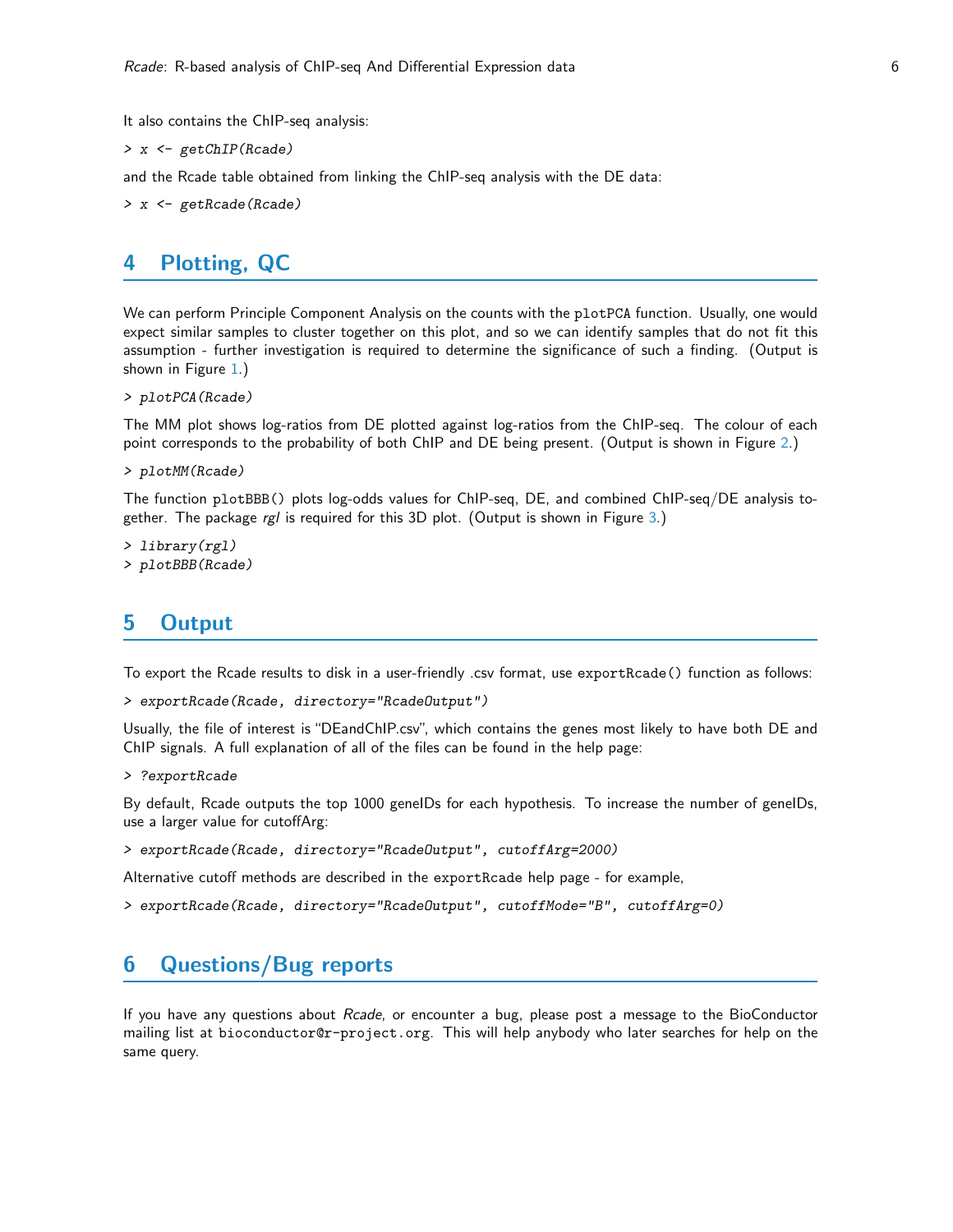It also contains the ChIP-seq analysis:

> x <- getChIP(Rcade)

and the Rcade table obtained from linking the ChIP-seq analysis with the DE data:

> x <- getRcade(Rcade)

### <span id="page-5-0"></span>4 Plotting, QC

We can perform Principle Component Analysis on the counts with the plotPCA function. Usually, one would expect similar samples to cluster together on this plot, and so we can identify samples that do not fit this assumption - further investigation is required to determine the significance of such a finding. (Output is shown in Figure [1.](#page-7-0))

```
> plotPCA(Rcade)
```
The MM plot shows log-ratios from DE plotted against log-ratios from the ChIP-seq. The colour of each point corresponds to the probability of both ChIP and DE being present. (Output is shown in Figure [2.](#page-8-0))

```
> plotMM(Rcade)
```
The function plotBBB() plots log-odds values for ChIP-seq, DE, and combined ChIP-seq/DE analysis together. The package  $rgl$  is required for this 3D plot. (Output is shown in Figure [3.](#page-9-0))

```
> library(rgl)
> plotBBB(Rcade)
```
### <span id="page-5-1"></span>5 Output

To export the Rcade results to disk in a user-friendly .csv format, use exportRcade() function as follows:

```
> exportRcade(Rcade, directory="RcadeOutput")
```
Usually, the file of interest is "DEandChIP.csv", which contains the genes most likely to have both DE and ChIP signals. A full explanation of all of the files can be found in the help page:

> ?exportRcade

By default, Rcade outputs the top 1000 geneIDs for each hypothesis. To increase the number of geneIDs, use a larger value for cutoffArg:

```
> exportRcade(Rcade, directory="RcadeOutput", cutoffArg=2000)
```
Alternative cutoff methods are described in the exportRcade help page - for example,

```
> exportRcade(Rcade, directory="RcadeOutput", cutoffMode="B", cutoffArg=0)
```
### <span id="page-5-2"></span>6 Questions/Bug reports

If you have any questions about Rcade, or encounter a bug, please post a message to the BioConductor mailing list at bioconductor@r-project.org. This will help anybody who later searches for help on the same query.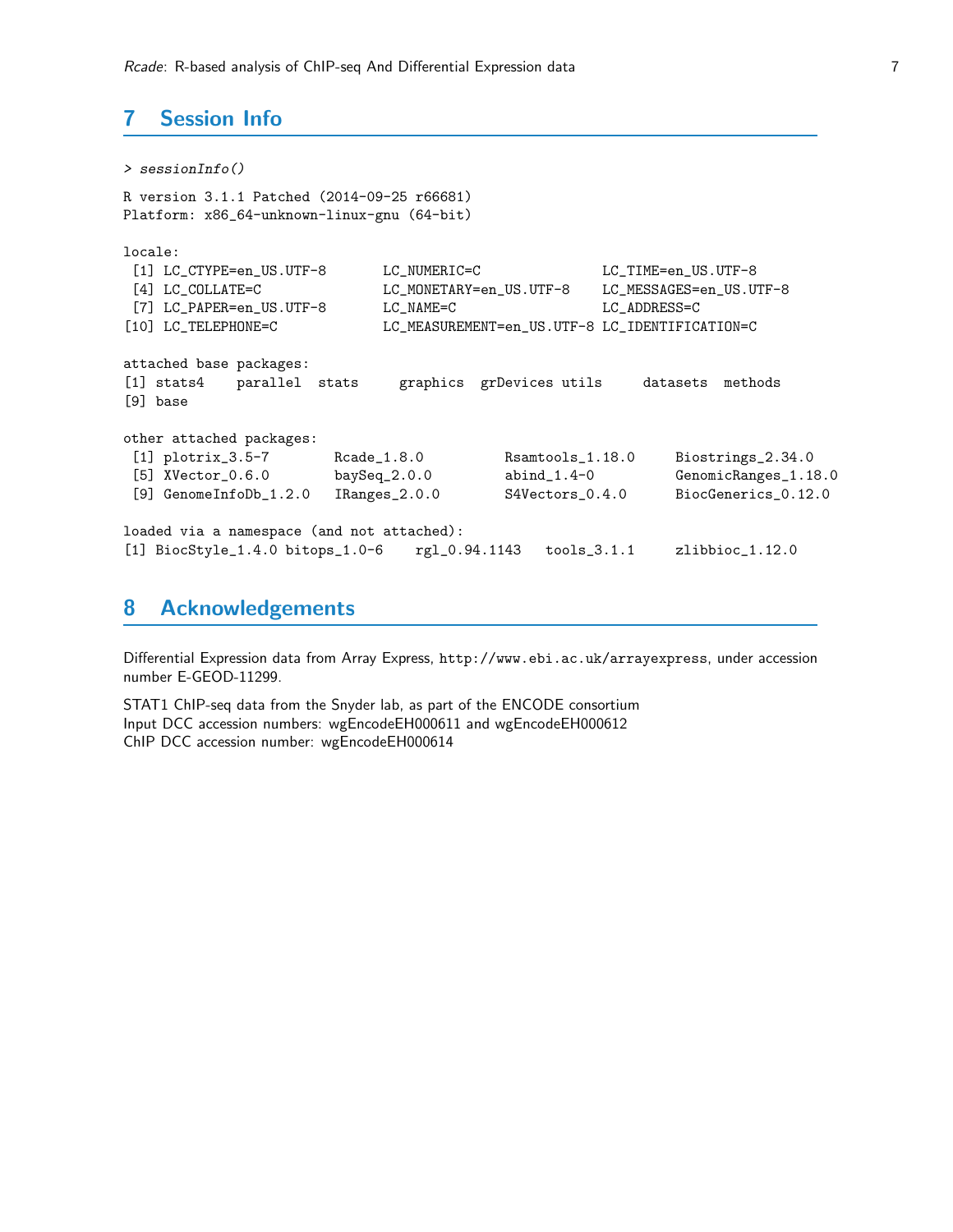# <span id="page-6-0"></span>7 Session Info

```
> sessionInfo()
R version 3.1.1 Patched (2014-09-25 r66681)
Platform: x86_64-unknown-linux-gnu (64-bit)
locale:
 [1] LC_CTYPE=en_US.UTF-8 LC_NUMERIC=C LC_TIME=en_US.UTF-8
 [4] LC_COLLATE=C LC_MONETARY=en_US.UTF-8 LC_MESSAGES=en_US.UTF-8
[7] LC_PAPER=en_US.UTF-8 LC_NAME=C LC_ADDRESS=C
[10] LC_TELEPHONE=C LC_MEASUREMENT=en_US.UTF-8 LC_IDENTIFICATION=C
attached base packages:
[1] stats4 parallel stats graphics grDevices utils datasets methods
[9] base
other attached packages:
 [1] plotrix_3.5-7 Rcade_1.8.0 Rsamtools_1.18.0 Biostrings_2.34.0
 [5] XVector_0.6.0 baySeq_2.0.0 abind_1.4-0 GenomicRanges_1.18.0
 [9] GenomeInfoDb_1.2.0 IRanges_2.0.0 S4Vectors_0.4.0 BiocGenerics_0.12.0
loaded via a namespace (and not attached):
[1] BiocStyle_1.4.0 bitops_1.0-6 rgl_0.94.1143 tools_3.1.1 zlibbioc_1.12.0
```
### <span id="page-6-1"></span>8 Acknowledgements

Differential Expression data from Array Express, http://www.ebi.ac.uk/arrayexpress, under accession number E-GEOD-11299.

STAT1 ChIP-seq data from the Snyder lab, as part of the ENCODE consortium Input DCC accession numbers: wgEncodeEH000611 and wgEncodeEH000612 ChIP DCC accession number: wgEncodeEH000614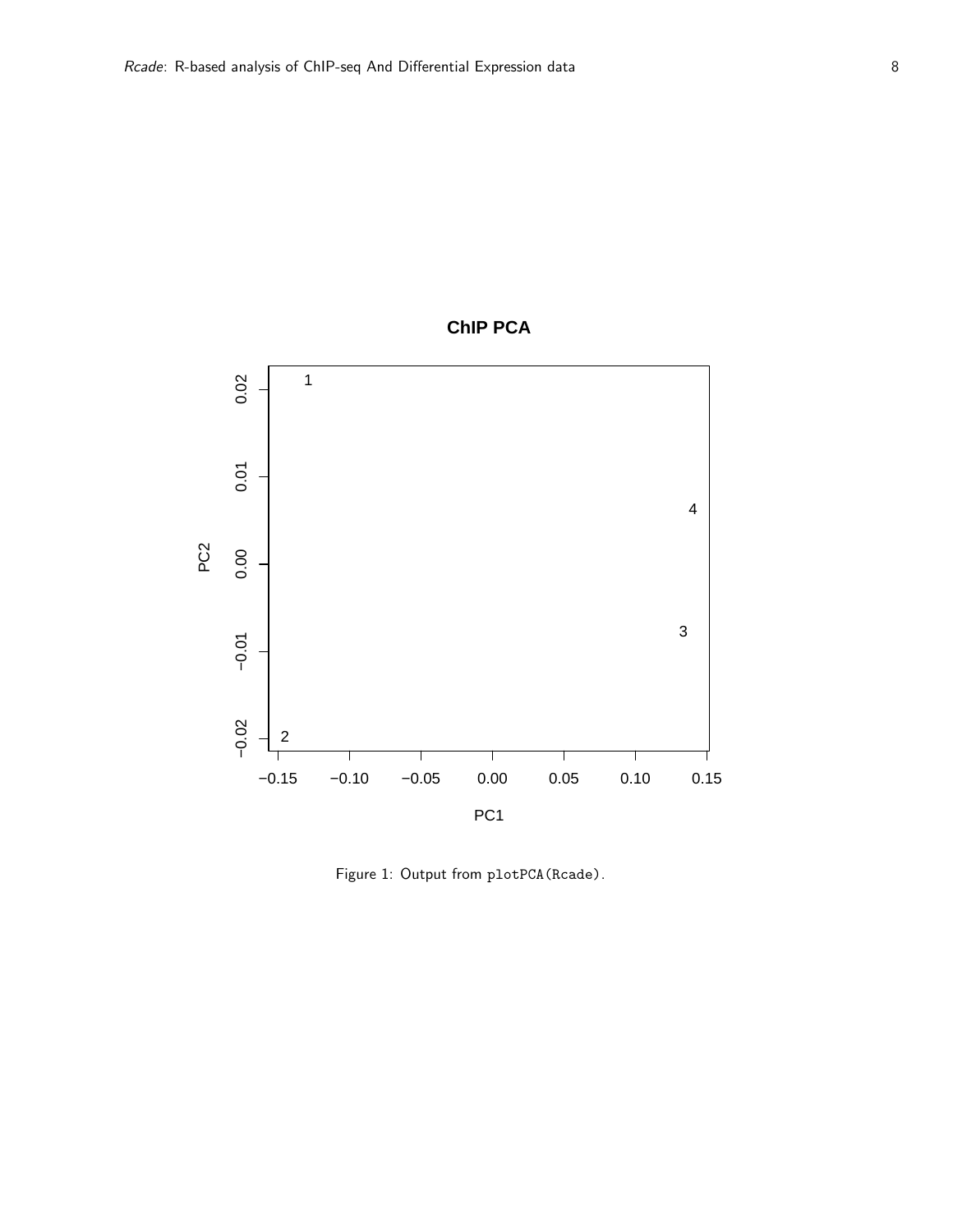

<span id="page-7-0"></span>Figure 1: Output from plotPCA(Rcade).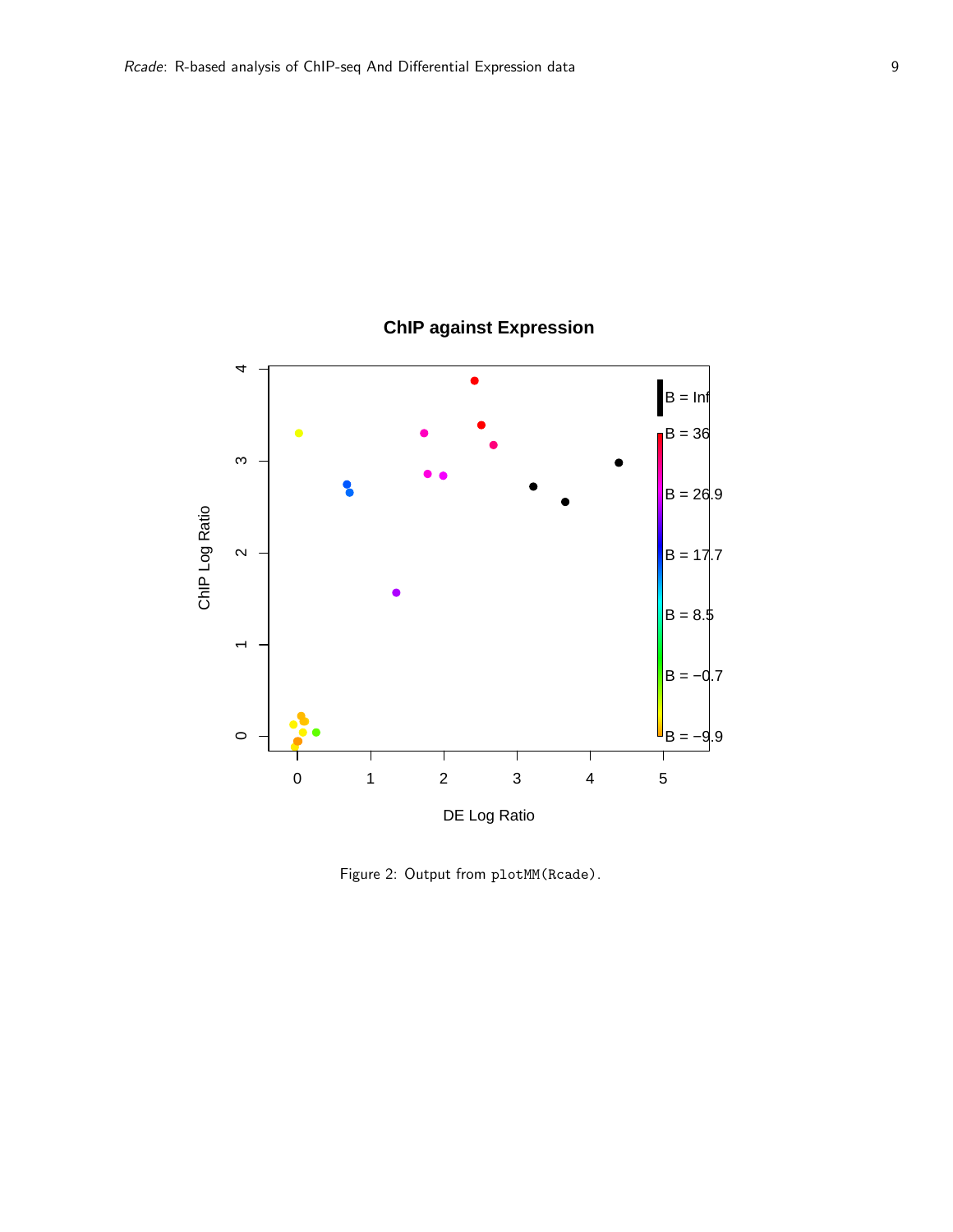

# **ChIP against Expression**

<span id="page-8-0"></span>Figure 2: Output from plotMM(Rcade).